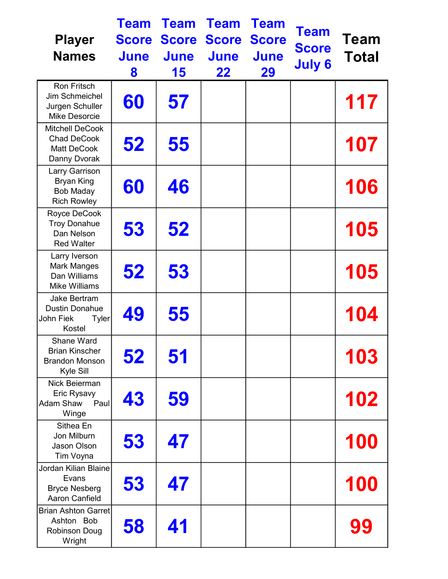| <b>Player</b><br><b>Names</b>                                                       | <b>Team</b><br><b>Score</b><br><b>June</b><br>8 | <b>Team</b><br><b>Score</b><br><b>June</b><br>15 | <b>Team</b><br><b>Score</b><br><b>June</b><br>22 | <b>Team</b><br><b>Score</b><br><b>June</b><br>29 | <b>Team</b><br><b>Score</b><br><b>July 6</b> | <b>Team</b><br>Total |
|-------------------------------------------------------------------------------------|-------------------------------------------------|--------------------------------------------------|--------------------------------------------------|--------------------------------------------------|----------------------------------------------|----------------------|
| <b>Ron Fritsch</b><br>Jim Schmeichel<br>Jurgen Schuller<br>Mike Desorcie            | 60                                              | 57                                               |                                                  |                                                  |                                              | 117                  |
| <b>Mitchell DeCook</b><br><b>Chad DeCook</b><br><b>Matt DeCook</b><br>Danny Dvorak  | 52                                              | 55                                               |                                                  |                                                  |                                              | 107                  |
| Larry Garrison<br><b>Bryan King</b><br><b>Bob Maday</b><br><b>Rich Rowley</b>       | 60                                              | 46                                               |                                                  |                                                  |                                              | 106                  |
| Royce DeCook<br><b>Troy Donahue</b><br>Dan Nelson<br><b>Red Walter</b>              | 53                                              | 52                                               |                                                  |                                                  |                                              | 105                  |
| Larry Iverson<br><b>Mark Manges</b><br>Dan Williams<br><b>Mike Williams</b>         | 52                                              | 53                                               |                                                  |                                                  |                                              | 105                  |
| <b>Jake Bertram</b><br><b>Dustin Donahue</b><br>John Fiek<br><b>Tyler</b><br>Kostel | 49                                              | 55                                               |                                                  |                                                  |                                              | 104                  |
| Shane Ward<br><b>Brian Kinscher</b><br><b>Brandon Monson</b><br>Kyle Sill           | 52                                              | 51                                               |                                                  |                                                  |                                              | 103                  |
| Nick Beierman<br>Eric Rysavy<br><b>Adam Shaw</b><br>Paul<br>Winge                   | 43                                              | 59                                               |                                                  |                                                  |                                              | 102                  |
| Sithea En<br>Jon Milburn<br>Jason Olson<br>Tim Voyna                                | 53                                              | 47                                               |                                                  |                                                  |                                              | <b>100</b>           |
| Jordan Kilian Blaine<br>Evans<br><b>Bryce Nesberg</b><br><b>Aaron Canfield</b>      | 53                                              | 47                                               |                                                  |                                                  |                                              | 100                  |
| Brian Ashton Garret<br>Ashton Bob<br><b>Robinson Doug</b><br>Wright                 | 58                                              | 41                                               |                                                  |                                                  |                                              | 99                   |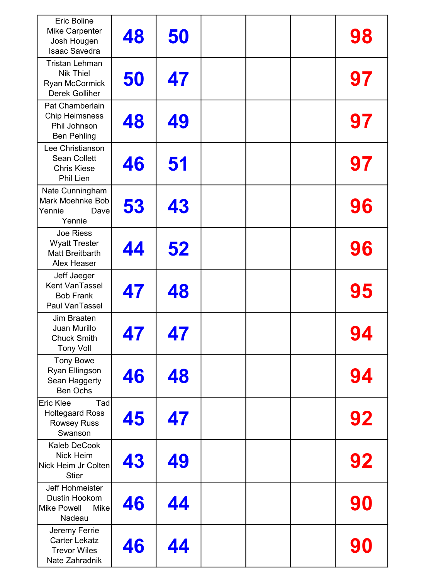| <b>Eric Boline</b><br><b>Mike Carpenter</b>                                                 | 48 | 50 |  | 98 |
|---------------------------------------------------------------------------------------------|----|----|--|----|
| Josh Hougen<br><b>Isaac Savedra</b>                                                         |    |    |  |    |
| <b>Tristan Lehman</b><br><b>Nik Thiel</b><br><b>Ryan McCormick</b><br><b>Derek Golliher</b> | 50 | 47 |  | 97 |
| Pat Chamberlain<br><b>Chip Heimsness</b><br>Phil Johnson<br><b>Ben Pehling</b>              | 48 | 49 |  | 97 |
| Lee Christianson<br><b>Sean Collett</b><br><b>Chris Kiese</b><br>Phil Lien                  | 46 | 51 |  | 97 |
| Nate Cunningham<br>Mark Moehnke Bob<br>Yennie<br>Dave<br>Yennie                             | 53 | 43 |  | 96 |
| Joe Riess<br><b>Wyatt Trester</b><br>Matt Breitbarth<br>Alex Heaser                         | 44 | 52 |  | 96 |
| Jeff Jaeger<br>Kent VanTassel<br><b>Bob Frank</b><br>Paul VanTassel                         | 47 | 48 |  | 95 |
| Jim Braaten<br>Juan Murillo<br><b>Chuck Smith</b><br><b>Tony Voll</b>                       | 47 | 47 |  | 94 |
| <b>Tony Bowe</b><br>Ryan Ellingson<br>Sean Haggerty<br><b>Ben Ochs</b>                      | 46 | 48 |  | 94 |
| Tad<br>Eric Klee<br><b>Holtegaard Ross</b><br><b>Rowsey Russ</b><br>Swanson                 | 45 | 47 |  | 92 |
| Kaleb DeCook<br>Nick Heim<br>Nick Heim Jr Colten<br><b>Stier</b>                            | 43 | 49 |  | 92 |
| Jeff Hohmeister<br>Dustin Hookom<br><b>Mike Powell</b><br><b>Mike</b><br>Nadeau             | 46 | 44 |  | 90 |
| Jeremy Ferrie<br><b>Carter Lekatz</b><br><b>Trevor Wiles</b><br>Nate Zahradnik              | 46 | 44 |  | 90 |